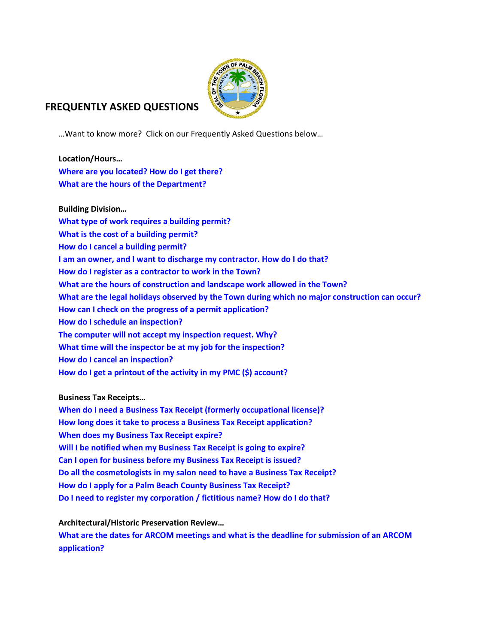

# **FREQUENTLY ASKED QUESTIONS**

…Want to know more? Click on our Frequently Asked Questions below…

**Location/Hours… [Where are you located? How do I get there?](#page-1-0) [What are the hours of the Department?](#page-1-1)**

**Building Division… [What type of work requires a building permit?](#page-2-0) [What is the cost of a building permit?](#page-2-1) [How do I cancel a building permit?](#page-2-2) [I am an owner, and I want to discharge my contractor. How do I do that?](#page-2-3) [How do I register as a contractor to work in the Town?](#page-3-0) [What are the hours of construction and landscape work allowed in the Town?](#page-3-1) [What are the legal holidays observed by the Town during which no major construction can occur?](#page-3-2) [How can I check on the progress of a permit application?](#page-3-3) [How do I schedule an inspection?](#page-3-4) [The computer will not accept my inspection request. Why?](#page-3-5) [What time will the inspector be at my job for the inspection?](#page-4-0) [How do I cancel an inspection?](#page-4-1) [How do I get a printout of the activity in my PMC \(\\$\) account?](#page-4-2)**

### **Business Tax Receipts…**

**[When do I need a Business Tax Receipt \(formerly occupational license\)?](#page-4-3) [How long does it take to process a Business Tax](#page-4-4) Receipt application? [When does my Business Tax Receipt expire?](#page-4-5) [Will I be notified when my Business Tax Receipt is going to expire?](#page-4-6) [Can I open for business before my Business Tax Receipt is issued?](#page-4-7) Do all the cosmetologists in my salon need to have a Business Tax Receipt? [How do I apply for a Palm Beach County Business Tax Receipt?](#page-5-0) [Do I need to register my corporation / fictitious name? How do I do that?](#page-5-1)**

**Architectural/Historic Preservation Review…**

**[What are the dates for ARCOM meetings and what is the deadline for submission of an ARCOM](#page-5-2)  [application?](#page-5-2)**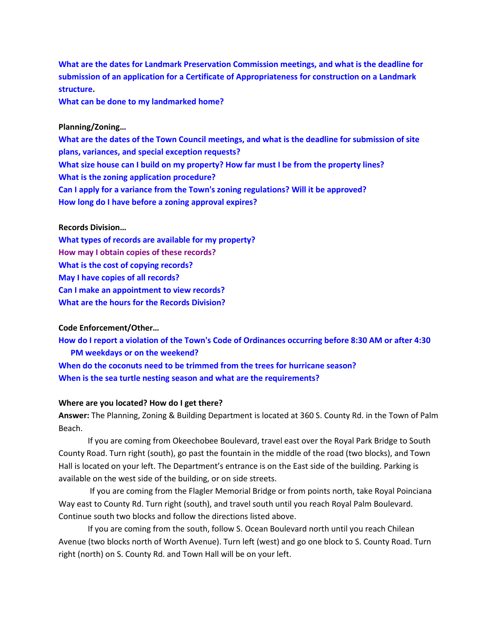**[What are the dates for Landmark Preservation Commission meetings, and what](#page-5-3) is the deadline for [submission of an application for a Certificate of Appropriateness for](#page-5-3) construction on a Landmark [structure.](#page-5-3)** 

**[What can be done to my](#page-5-4) landmarked home?**

#### **Planning/Zoning…**

**What are the dates of the [Town Council meetings, and what is the deadline for](#page-6-0) submission of site plans, [variances, and special exception requests?](#page-6-0) [What size house can I build on my property? How far must I be from](#page-6-1) the property lines? What is the [zoning application procedure?](#page-7-0) Can I apply for a variance from the [Town's zoning regulations?](#page-7-1) Will it be approved? How long do I have before [a zoning approval expires?](#page-7-2)**

#### **Records Division…**

**What types of records are [available for my property?](#page-5-5) [How may I obtain copies of these records?](#page-6-2) What is the [cost of copying records?](#page-6-3) [May I have copies of all records?](#page-6-4) Can I make an appointment to view records? [What are the hours for the Records Division?](#page-6-5)**

#### **Code Enforcement/Other…**

**How do I report a violation of the Town's [Code of Ordinances occurring before 8:30 AM or after](#page-4-8) 4:30  [PM weekdays or on the](#page-4-8) weekend? [When do the coconuts need to be trimmed from the](#page-2-4) trees for hurricane season? When is the sea turtle nesting season and what [are the requirements?](#page-2-5)**

#### <span id="page-1-0"></span>**Where are you located? How do I get there?**

**Answer:** The Planning, Zoning & Building Department is located at 360 S. County Rd. in the Town of Palm Beach.

If you are coming from Okeechobee Boulevard, travel east over the Royal Park Bridge to South County Road. Turn right (south), go past the fountain in the middle of the road (two blocks), and Town Hall is located on your left. The Department's entrance is on the East side of the building. Parking is available on the west side of the building, or on side streets.

If you are coming from the Flagler Memorial Bridge or from points north, take Royal Poinciana Way east to County Rd. Turn right (south), and travel south until you reach Royal Palm Boulevard. Continue south two blocks and follow the directions listed above.

<span id="page-1-1"></span>If you are coming from the south, follow S. Ocean Boulevard north until you reach Chilean Avenue (two blocks north of Worth Avenue). Turn left (west) and go one block to S. County Road. Turn right (north) on S. County Rd. and Town Hall will be on your left.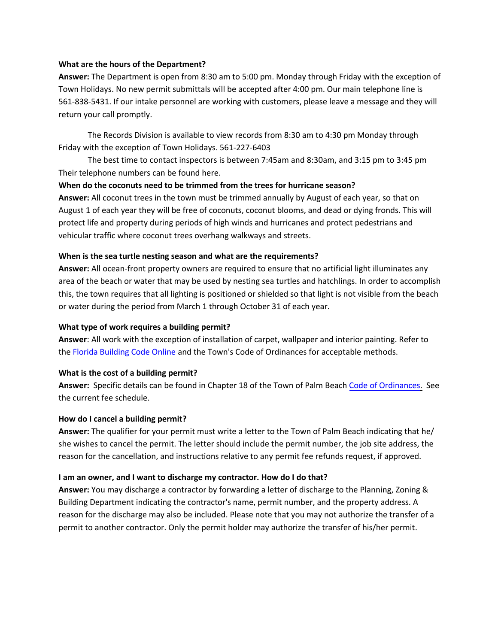#### **What are the hours of the Department?**

**Answer:** The Department is open from 8:30 am to 5:00 pm. Monday through Friday with the exception of Town Holidays. No new permit submittals will be accepted after 4:00 pm. Our main telephone line is 561-838-5431. If our intake personnel are working with customers, please leave a message and they will return your call promptly.

The Records Division is available to view records from 8:30 am to 4:30 pm Monday through Friday with the exception of Town Holidays. 561-227-6403

The best time to contact inspectors is between 7:45am and 8:30am, and 3:15 pm to 3:45 pm Their telephone numbers can be found here.

### **When do the coconuts need to be trimmed from the trees for hurricane season?**

<span id="page-2-4"></span>**Answer:** All coconut trees in the town must be trimmed annually by August of each year, so that on August 1 of each year they will be free of coconuts, coconut blooms, and dead or dying fronds. This will protect life and property during periods of high winds and hurricanes and protect pedestrians and vehicular traffic where coconut trees overhang walkways and streets.

### **When is the sea turtle nesting season and what are the requirements?**

<span id="page-2-5"></span>**Answer:** All ocean-front property owners are required to ensure that no artificial light illuminates any area of the beach or water that may be used by nesting sea turtles and hatchlings. In order to accomplish this, the town requires that all lighting is positioned or shielded so that light is not visible from the beach or water during the period from March 1 through October 31 of each year.

### **What type of work requires a building permit?**

**Answer**: All work with the exception of installation of carpet, wallpaper and interior painting. Refer to the Florida Building Code Online and the Town's Code of Ordinances for acceptable methods.

### <span id="page-2-0"></span>**What is the cost of a building permit?**

**Answer:** Specific details can be found in Chapter 18 of the Town of Palm Beach Code of Ordinances. See the [current fee schedule.](http://www.floridabuilding.org/bc/bc_default.aspx)

### <span id="page-2-1"></span>**How do [I cancel a building](http://fl-palmbeach.civicplus.com/DocumentCenter/View/702) permit?**

**Answer:** The qualifier for your permit must write a letter to the Town of Palm Beach indicating that he/ she wishes to cancel th[e permit. The letter sh](http://library.municode.com/index.aspx?clientId=11397)ould include the permit number, the job site address, the reason for the cancellation, and instructions relative to any permit fee refunds request, if approved.

### <span id="page-2-2"></span>**I am an owner, and I want to discharge my contractor. How do I do that?**

<span id="page-2-3"></span>**Answer:** You may discharge a contractor by forwarding a letter of discharge to the Planning, Zoning & Building Department indicating the contractor's name, permit number, and the property address. A reason for the discharge may also be included. Please note that you may not authorize the transfer of a permit to another contractor. Only the permit holder may authorize the transfer of his/her permit.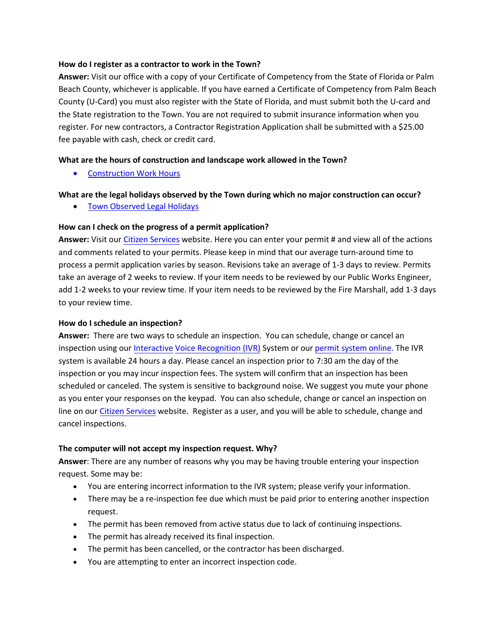### <span id="page-3-0"></span>**How do I register as a contractor to work in the Town?**

**Answer:** Visit our office with a copy of your Certificate of Competency from the State of Florida or Palm Beach County, whichever is applicable. If you have earned a Certificate of Competency from Palm Beach County (U-Card) you must also register with the State of Florida, and must submit both the U-card and the State registration to the Town. You are not required to submit insurance information when you register. For new contractors, a Contractor Registration Application shall be submitted with a \$25.00 fee payable with cash, check or credit card.

#### <span id="page-3-1"></span>**What are the hours of construction and landscape work allowed in the Town?**

• [Construction Work Hours](http://fl-palmbeach.civicplus.com/DocumentCenter/View/116)

#### <span id="page-3-2"></span>**What are the legal holidays observed by the Town during which no major construction can occur?**

• [Town Observed Legal Holidays](https://www.townofpalmbeach.com/DocumentCenter/View/7029)

#### <span id="page-3-3"></span>**How can I check on the progress of a permit application?**

**Answer:** Visit our [Citizen Services](http://eden.townofpalmbeach.us/Default.asp?Build=SY.CSHome&ClearErrors=Y) website. Here you can enter your permit # and view all of the actions and comments related to your permits. Please keep in mind that our average turn-around time to process a permit application varies by season. Revisions take an average of 1-3 days to review. Permits take an average of 2 weeks to review. If your item needs to be reviewed by our Public Works Engineer, add 1-2 weeks to your review time. If your item needs to be reviewed by the Fire Marshall, add 1-3 days to your review time.

#### <span id="page-3-4"></span>**How do I schedule an inspection?**

**Answer:** There are two ways to schedule an inspection. You can schedule, change or cancel an inspection using our Interactive Voice Recognition (IVR) System or our permit system o[nline. The IVR](http://fl-palmbeach.civicplus.com/DocumentCenter/View/129)  [system is available](http://fl-palmbeach.civicplus.com/DocumentCenter/View/129) 24 hours a day. Please [cancel an](http://eden.townofpalmbeach.us/Default.asp?Build=SY.CSHome&ClearErrors=Y) inspection prior to 7:30 am the day of the inspection or you may incur inspection fees. The system will confirm that an inspection has been scheduled or canceled. The system is sensitive to background noise. We suggest you mute your phone as you enter your responses on the keypad. You can also schedule, change or cancel an inspection on line on our Citizen Services website. Register as a user, and you [will be able to](http://eden.townofpalmbeach.us/Default.asp?Build=SY.CSHome&ClearErrors=Y) schedule, change and cancel inspections.

#### <span id="page-3-5"></span>**The computer will not accept my inspection request. Why?**

**Answer**: There are any number of reasons why you may be having trouble entering your inspection request. Some may be:

- You are entering incorrect information to the IVR system; please verify your information.
- There may be a re-inspection fee due which must be paid prior to entering another inspection request.
- The permit has been removed from active status due to lack of continuing inspections.
- The permit has already received its final inspection.
- The permit has been cancelled, or the contractor has been discharged.
- You are attempting to enter an incorrect inspection code.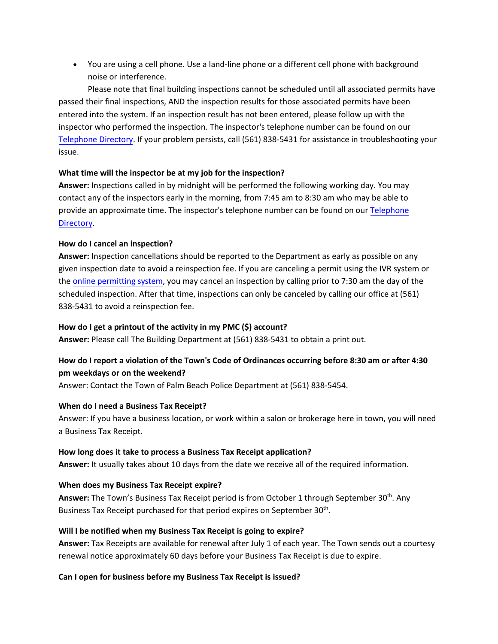• You are using a cell phone. Use a land-line phone or a different cell phone with background noise or interference.

Please note that final building inspections cannot be scheduled until all associated permits have passed their final inspections, AND the inspection results for those associated permits have been entered into the system. If an inspection result has not been entered, please follow up with the inspector who performed the inspection. The inspector's telephone number can be found on our [Telephone Directory.](http://fl-palmbeach.civicplus.com/DocumentCenter/View/703) If your problem persists, call (561) 838-5431 for assistance in troubleshooting your issue.

## <span id="page-4-0"></span>**What time will the inspector be at my job for the inspection?**

**Answer:** Inspections called in by midnight will be performed the following working day. You may contact any of the inspectors early in the morning, from 7:45 am to 8:30 am who may be able to provide an approximate time. The inspector's telephone number can be found on our [Telephone](http://fl-palmbeach.civicplus.com/DocumentCenter/View/703) Directory.

## <span id="page-4-1"></span>**How do I cancel an inspection?**

**Answer:** Inspection cancellations should be reported to the Department as early as possible on any giv[en inspection date to](http://eden.townofpalmbeach.us/Default.asp?Build=SY.CSHome&ClearErrors=Y) avoid a reinspection fee. If you are canceling a permit using the IVR system or the online permitting system, you may cancel an inspection by calling prior to 7:30 am the day of the scheduled inspection. After that time, inspections can only be canceled by calling our office at (561) 838-5431 to avoid a reinspection fee.

# <span id="page-4-2"></span>**How do I get a printout of the activity in my PMC (\$) account?**

<span id="page-4-8"></span>**Answer:** Please call The Building Department at (561) 838-5431 to obtain a print out.

# **How do I report a violation of the Town's Code of Ordinances occurring before 8:30 am or after 4:30 pm weekdays or on the weekend?**

<span id="page-4-3"></span>Answer: Contact the Town of Palm Beach Police Department at (561) 838-5454.

### **When do I need a Business Tax Receipt?**

Answer: If you have a business location, or work within a salon or brokerage here in town, you will need a Business Tax Receipt.

### <span id="page-4-4"></span>**How long does it take to process a Business Tax Receipt application?**

<span id="page-4-5"></span>**Answer:** It usually takes about 10 days from the date we receive all of the required information.

### **When does my Business Tax Receipt expire?**

Answer: The Town's Business Tax Receipt period is from October 1 through September 30<sup>th</sup>. Any Business Tax Receipt purchased for that period expires on September 30<sup>th</sup>.

# <span id="page-4-6"></span>**Will I be notified when my Business Tax Receipt is going to expire?**

**Answer:** Tax Receipts are available for renewal after July 1 of each year. The Town sends out a courtesy renewal notice approximately 60 days before your Business Tax Receipt is due to expire.

# <span id="page-4-7"></span>**Can I open for business before my Business Tax Receipt is issued?**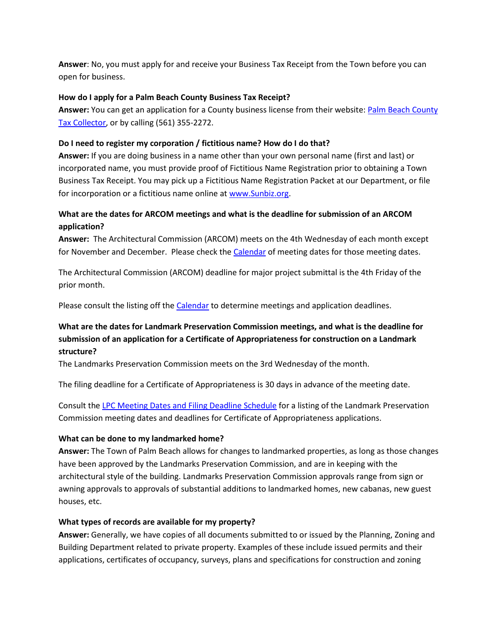**Answer**: No, you must apply for and receive your Business Tax Receipt from the Town before you can open for business.

### <span id="page-5-0"></span>**How do I apply for a Palm Beach County Business Tax Receipt?**

Answer: You can get an application for a County business license from their website: Palm Beach County [Tax Collector,](http://pbctax.manatron.com/Tabs/BusinessTax.aspx) or by calling (561) 355-2272.

## <span id="page-5-1"></span>**Do I need to register my corporation / fictitious name? How do I do that?**

**Answer:** If you are doing business in a name other than your own personal name (first and last) or incorporated name, you must provide proof of Fictitious Name Registration prior to obtaining a Town Business Tax Receipt. You may pick up a Fictitious Name Registration Packet at our Department, or file for incorporation or a fictitious name online at [www.Sunbiz.org.](http://www.sunbiz.org/)

# <span id="page-5-2"></span>**What are the dates for ARCOM meetings and what is the deadline for submission of an ARCOM application?**

**Answer:** The Architectural Commission (ARCOM) meets on the 4th Wednesday of each month except for November and December. Please check the [Calendar](http://fl-palmbeach.civicplus.com/DocumentCenter/View/111) of meeting dates for those meeting dates.

The Architectural Commission (ARCOM) deadline for major project submittal is the 4th Friday of the prior month.

Please consult the listing off the [Calendar](http://fl-palmbeach.civicplus.com/DocumentCenter/View/111) to determine meetings and application deadlines.

# <span id="page-5-3"></span>**What are the dates for Landmark Preservation Commission meetings, and what is the deadline for submission of an application for a Certificate of Appropriateness for construction on a Landmark structure?**

The Landmarks Preservation Commission meets on the 3rd Wednesday of the month.

The filing deadline for a Certificate of Appropriateness is 30 days in advance of the meeting date.

Consult th[e LPC Meeting Dates and Filing Deadline Schedule](http://fl-palmbeach.civicplus.com/DocumentCenter/View/134) for a listing of the Landmark Preservation Commission meeting dates and deadlines for Certificate of Appropriateness applications.

# <span id="page-5-4"></span>**What can be done to my landmarked home?**

**Answer:** The Town of Palm Beach allows for changes to landmarked properties, as long as those changes have been approved by the Landmarks Preservation Commission, and are in keeping with the architectural style of the building. Landmarks Preservation Commission approvals range from sign or awning approvals to approvals of substantial additions to landmarked homes, new cabanas, new guest houses, etc.

# <span id="page-5-5"></span>**What types of records are available for my property?**

**Answer:** Generally, we have copies of all documents submitted to or issued by the Planning, Zoning and Building Department related to private property. Examples of these include issued permits and their applications, certificates of occupancy, surveys, plans and specifications for construction and zoning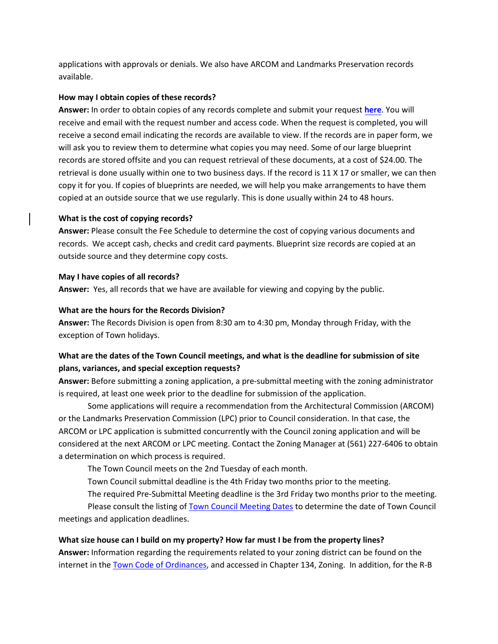applications with approvals or denials. We also have ARCOM and Landmarks Preservation records available.

### <span id="page-6-2"></span>**How may I obtain copies of these records?**

**Answer:** In order to obtain copies of any records complete and submit your request **[here](https://palmbeachfl.justfoia.com/Forms/Launch/ffc09780-cc05-46b1-80a8-4b90a727b510)**. You will receive and email with the request number and access code. When the request is completed, you will receive a second email indicating the records are available to view. If the records are in paper form, we will ask you to review them to determine what copies you may need. Some of our large blueprint records are stored offsite and you can request retrieval of these documents, at a cost of \$24.00. The retrieval is done usually within one to two business days. If the record is 11 X 17 or smaller, we can then copy it for you. If copies of blueprints are needed, we will help you make arrangements to have them copied at an outside source that we use regularly. This is done usually within 24 to 48 hours.

# <span id="page-6-3"></span>**What is the cost of copying records?**

**Answer:** Please consult the Fee Schedule to determine the cost of copying various documents and records. We accept cash, checks and credit card payments. Blueprint size records are copied at an outside source and they determine copy costs.

## <span id="page-6-4"></span>**May I have copies of all records?**

**Answer:** Yes, all records that we have are available for viewing and copying by the public.

## <span id="page-6-5"></span>**What are the hours for the Records Division?**

**Answer:** The Records Division is open from 8:30 am to 4:30 pm, Monday through Friday, with the exception of Town holidays.

# <span id="page-6-0"></span>**What are the dates of the Town Council meetings, and what is the deadline for submission of site plans, variances, and special exception requests?**

**Answer:** Before submitting a zoning application, a pre-submittal meeting with the zoning administrator is required, at least one week prior to the deadline for submission of the application.

Some applications will require a recommendation from the Architectural Commission (ARCOM) or the Landmarks Preservation Commission (LPC) prior to Council consideration. In that case, the ARCOM or LPC application is submitted concurrently with the Council zoning application and will be considered at the next ARCOM or LPC meeting. Contact the Zoning Manager at (561) 227-6406 to obtain a determination on which process is required.

The Town Council meets on the 2nd Tuesday of each month.

Town Council submittal deadline is the 4th Friday two months prior to the meeting.

The required Pre-Submittal Meeting deadline is the 3rd Friday two months prior to the meeting.

Please consult the listing of [Town Council Meeting Dates](http://fl-palmbeach.civicplus.com/calendar.aspx?EID=136) to determine the date of Town Council meetings and application deadlines.

# <span id="page-6-1"></span>**What size house can I build on my property? How far must I be from the property lines?**

**Answer:** Information regarding the requirements related to your zoning district can be found on the internet in the [Town Code of Ordinances,](http://www.municode.com/resources/gateway.asp?pid=11397&sid=9) and accessed in Chapter 134, Zoning. In addition, for the R-B